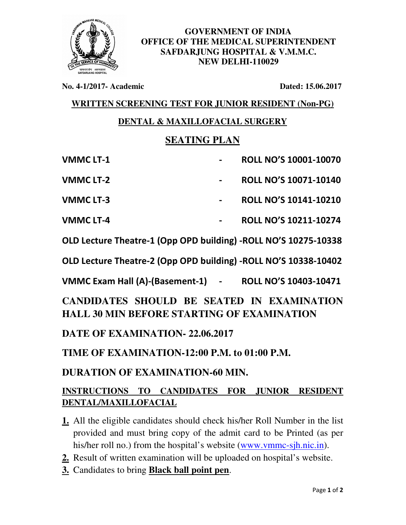

**GOVERNMENT OF INDIA OFFICE OF THE MEDICAL SUPERINTENDENT SAFDARJUNG HOSPITAL & V.M.M.C. NEW DELHI-110029** 

**No. 4-1/2017- Academic Dated: 15.06.2017**

**WRITTEN SCREENING TEST FOR JUNIOR RESIDENT (Non-PG)**

## **DENTAL & MAXILLOFACIAL SURGERY**

## **SEATING PLAN**

| <b>VMMC LT-1</b>                                                | <b>ROLL NO'S 10001-10070</b> |
|-----------------------------------------------------------------|------------------------------|
| <b>VMMC LT-2</b>                                                | <b>ROLL NO'S 10071-10140</b> |
| <b>VMMC LT-3</b>                                                | <b>ROLL NO'S 10141-10210</b> |
| <b>VMMC LT-4</b>                                                | ROLL NO'S 10211-10274        |
| OLD Lecture Theatre-1 (Opp OPD building) -ROLL NO'S 10275-10338 |                              |
|                                                                 |                              |

**OLD Lecture Theatre-2 (Opp OPD building) -ROLL NO'S 10338-10402** 

**VMMC Exam Hall (A)-(Basement-1) - ROLL NO'S 10403-10471** 

**CANDIDATES SHOULD BE SEATED IN EXAMINATION HALL 30 MIN BEFORE STARTING OF EXAMINATION** 

**DATE OF EXAMINATION- 22.06.2017** 

**TIME OF EXAMINATION-12:00 P.M. to 01:00 P.M.** 

## **DURATION OF EXAMINATION-60 MIN.**

## **INSTRUCTIONS TO CANDIDATES FOR JUNIOR RESIDENT DENTAL/MAXILLOFACIAL**

- **1.** All the eligible candidates should check his/her Roll Number in the list provided and must bring copy of the admit card to be Printed (as per his/her roll no.) from the hospital's website (www.ymmc-sjh.nic.in).
- **2.** Result of written examination will be uploaded on hospital's website.
- **3.** Candidates to bring **Black ball point pen**.